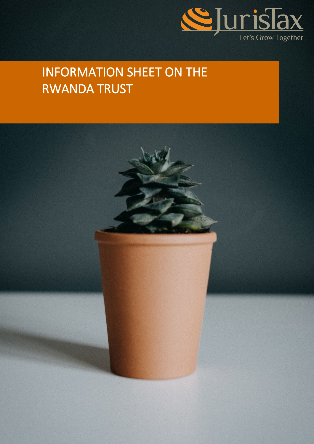

# INFORMATION SHEET ON THE RWANDA TRUST

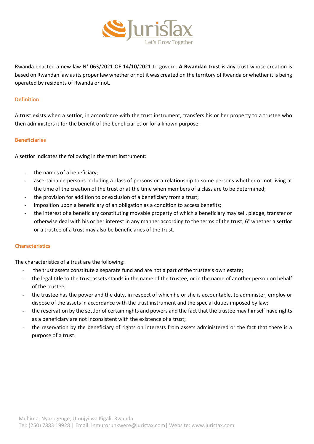

Rwanda enacted a new law N° 063/2021 OF 14/10/2021 to govern. **A Rwandan trust** is any trust whose creation is based on Rwandan law as its proper law whether or not it was created on the territory of Rwanda or whether it is being operated by residents of Rwanda or not.

## **Definition**

A trust exists when a settlor, in accordance with the trust instrument, transfers his or her property to a trustee who then administers it for the benefit of the beneficiaries or for a known purpose.

## **Beneficiaries**

A settlor indicates the following in the trust instrument:

- the names of a beneficiary;
- ascertainable persons including a class of persons or a relationship to some persons whether or not living at the time of the creation of the trust or at the time when members of a class are to be determined;
- the provision for addition to or exclusion of a beneficiary from a trust;
- imposition upon a beneficiary of an obligation as a condition to access benefits;
- the interest of a beneficiary constituting movable property of which a beneficiary may sell, pledge, transfer or otherwise deal with his or her interest in any manner according to the terms of the trust; 6° whether a settlor or a trustee of a trust may also be beneficiaries of the trust.

# **Characteristics**

The characteristics of a trust are the following:

- the trust assets constitute a separate fund and are not a part of the trustee's own estate;
- the legal title to the trust assets stands in the name of the trustee, or in the name of another person on behalf of the trustee;
- the trustee has the power and the duty, in respect of which he or she is accountable, to administer, employ or dispose of the assets in accordance with the trust instrument and the special duties imposed by law;
- the reservation by the settlor of certain rights and powers and the fact that the trustee may himself have rights as a beneficiary are not inconsistent with the existence of a trust;
- the reservation by the beneficiary of rights on interests from assets administered or the fact that there is a purpose of a trust.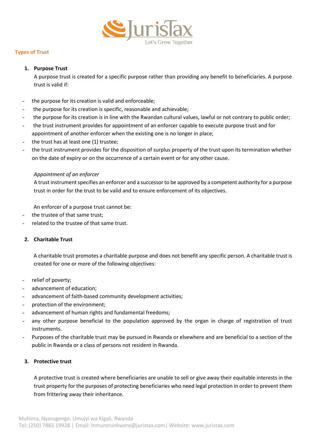

# **Types of Trust**

## **1. Purpose Trust**

A purpose trust is created for a specific purpose rather than providing any benefit to beneficiaries. A purpose trust is valid if:

- the purpose for its creation is valid and enforceable;
- the purpose for its creation is specific, reasonable and achievable;
- the purpose for its creation is in line with the Rwandan cultural values, lawful or not contrary to public order;
- the trust instrument provides for appointment of an enforcer capable to execute purpose trust and for appointment of another enforcer when the existing one is no longer in place;
- the trust has at least one (1) trustee;
- the trust instrument provides for the disposition of surplus property of the trust upon its termination whether on the date of expiry or on the occurrence of a certain event or for any other cause.

# *Appointment of an enforcer*

A trust instrument specifies an enforcer and a successor to be approved by a competent authority for a purpose trust in order for the trust to be valid and to ensure enforcement of its objectives.

An enforcer of a purpose trust cannot be:

- the trustee of that same trust;
- related to the trustee of that same trust.

# **2. Charitable Trust**

A charitable trust promotes a charitable purpose and does not benefit any specific person. A charitable trust is created for one or more of the following objectives:

- relief of poverty;
- advancement of education;
- advancement of faith-based community development activities;
- protection of the environment;
- advancement of human rights and fundamental freedoms;
- any other purpose beneficial to the population approved by the organ in charge of registration of trust instruments.
- Purposes of the charitable trust may be pursued in Rwanda or elsewhere and are beneficial to a section of the public in Rwanda or a class of persons not resident in Rwanda.

# **3. Protective trust**

A protective trust is created where beneficiaries are unable to sell or give away their equitable interests in the trust property for the purposes of protecting beneficiaries who need legal protection in order to prevent them from frittering away their inheritance.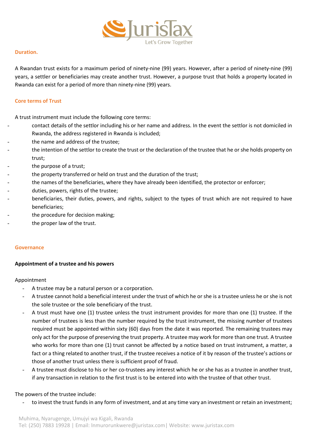

## **Duration.**

A Rwandan trust exists for a maximum period of ninety-nine (99) years. However, after a period of ninety-nine (99) years, a settler or beneficiaries may create another trust. However, a purpose trust that holds a property located in Rwanda can exist for a period of more than ninety-nine (99) years.

## **Core terms of Trust**

A trust instrument must include the following core terms:

- contact details of the settlor including his or her name and address. In the event the settlor is not domiciled in Rwanda, the address registered in Rwanda is included;
- the name and address of the trustee;
- the intention of the settlor to create the trust or the declaration of the trustee that he or she holds property on trust;
- the purpose of a trust;
- the property transferred or held on trust and the duration of the trust;
- the names of the beneficiaries, where they have already been identified, the protector or enforcer;
- duties, powers, rights of the trustee;
- beneficiaries, their duties, powers, and rights, subject to the types of trust which are not required to have beneficiaries;
- the procedure for decision making;
- the proper law of the trust.

## **Governance**

## **Appointment of a trustee and his powers**

## Appointment

- A trustee may be a natural person or a corporation.
- A trustee cannot hold a beneficial interest under the trust of which he or she is a trustee unless he or she is not the sole trustee or the sole beneficiary of the trust.
- A trust must have one (1) trustee unless the trust instrument provides for more than one (1) trustee. If the number of trustees is less than the number required by the trust instrument, the missing number of trustees required must be appointed within sixty (60) days from the date it was reported. The remaining trustees may only act for the purpose of preserving the trust property. A trustee may work for more than one trust. A trustee who works for more than one (1) trust cannot be affected by a notice based on trust instrument, a matter, a fact or a thing related to another trust, if the trustee receives a notice of it by reason of the trustee's actions or those of another trust unless there is sufficient proof of fraud.
- A trustee must disclose to his or her co-trustees any interest which he or she has as a trustee in another trust, if any transaction in relation to the first trust is to be entered into with the trustee of that other trust.

## The powers of the trustee include:

to invest the trust funds in any form of investment, and at any time vary an investment or retain an investment;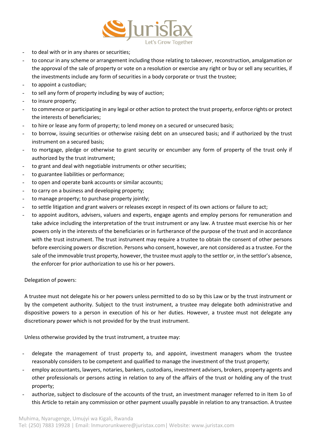

- to deal with or in any shares or securities;
- to concur in any scheme or arrangement including those relating to takeover, reconstruction, amalgamation or the approval of the sale of property or vote on a resolution or exercise any right or buy or sell any securities, if the investments include any form of securities in a body corporate or trust the trustee;
- to appoint a custodian;
- to sell any form of property including by way of auction;
- to insure property;
- to commence or participating in any legal or other action to protect the trust property, enforce rights or protect the interests of beneficiaries;
- to hire or lease any form of property; to lend money on a secured or unsecured basis;
- to borrow, issuing securities or otherwise raising debt on an unsecured basis; and if authorized by the trust instrument on a secured basis;
- to mortgage, pledge or otherwise to grant security or encumber any form of property of the trust only if authorized by the trust instrument;
- to grant and deal with negotiable instruments or other securities;
- to guarantee liabilities or performance;
- to open and operate bank accounts or similar accounts;
- to carry on a business and developing property;
- to manage property; to purchase property jointly;
- to settle litigation and grant waivers or releases except in respect of its own actions or failure to act;
- to appoint auditors, advisers, valuers and experts, engage agents and employ persons for remuneration and take advice including the interpretation of the trust instrument or any law. A trustee must exercise his or her powers only in the interests of the beneficiaries or in furtherance of the purpose of the trust and in accordance with the trust instrument. The trust instrument may require a trustee to obtain the consent of other persons before exercising powers or discretion. Persons who consent, however, are not considered as a trustee. For the sale of the immovable trust property, however, the trustee must apply to the settlor or, in the settlor's absence, the enforcer for prior authorization to use his or her powers.

Delegation of powers:

A trustee must not delegate his or her powers unless permitted to do so by this Law or by the trust instrument or by the competent authority. Subject to the trust instrument, a trustee may delegate both administrative and dispositive powers to a person in execution of his or her duties. However, a trustee must not delegate any discretionary power which is not provided for by the trust instrument.

Unless otherwise provided by the trust instrument, a trustee may:

- delegate the management of trust property to, and appoint, investment managers whom the trustee reasonably considers to be competent and qualified to manage the investment of the trust property;
- employ accountants, lawyers, notaries, bankers, custodians, investment advisers, brokers, property agents and other professionals or persons acting in relation to any of the affairs of the trust or holding any of the trust property;
- authorize, subject to disclosure of the accounts of the trust, an investment manager referred to in Item 1o of this Article to retain any commission or other payment usually payable in relation to any transaction. A trustee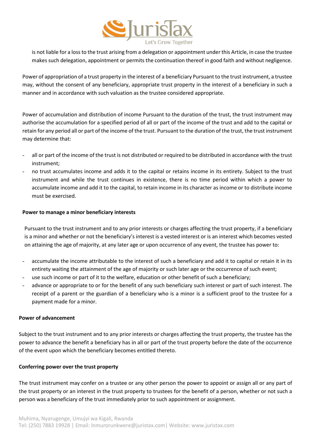

is not liable for a loss to the trust arising from a delegation or appointment under this Article, in case the trustee makes such delegation, appointment or permits the continuation thereof in good faith and without negligence.

Power of appropriation of a trust property in the interest of a beneficiary Pursuant to the trust instrument, a trustee may, without the consent of any beneficiary, appropriate trust property in the interest of a beneficiary in such a manner and in accordance with such valuation as the trustee considered appropriate.

Power of accumulation and distribution of income Pursuant to the duration of the trust, the trust instrument may authorise the accumulation for a specified period of all or part of the income of the trust and add to the capital or retain for any period all or part of the income of the trust. Pursuant to the duration of the trust, the trust instrument may determine that:

- all or part of the income of the trust is not distributed or required to be distributed in accordance with the trust instrument;
- no trust accumulates income and adds it to the capital or retains income in its entirety. Subject to the trust instrument and while the trust continues in existence, there is no time period within which a power to accumulate income and add it to the capital, to retain income in its character as income or to distribute income must be exercised.

## **Power to manage a minor beneficiary interests**

Pursuant to the trust instrument and to any prior interests or charges affecting the trust property, if a beneficiary is a minor and whether or not the beneficiary's interest is a vested interest or is an interest which becomes vested on attaining the age of majority, at any later age or upon occurrence of any event, the trustee has power to:

- accumulate the income attributable to the interest of such a beneficiary and add it to capital or retain it in its entirety waiting the attainment of the age of majority or such later age or the occurrence of such event;
- use such income or part of it to the welfare, education or other benefit of such a beneficiary;
- advance or appropriate to or for the benefit of any such beneficiary such interest or part of such interest. The receipt of a parent or the guardian of a beneficiary who is a minor is a sufficient proof to the trustee for a payment made for a minor.

## **Power of advancement**

Subject to the trust instrument and to any prior interests or charges affecting the trust property, the trustee has the power to advance the benefit a beneficiary has in all or part of the trust property before the date of the occurrence of the event upon which the beneficiary becomes entitled thereto.

# **Conferring power over the trust property**

The trust instrument may confer on a trustee or any other person the power to appoint or assign all or any part of the trust property or an interest in the trust property to trustees for the benefit of a person, whether or not such a person was a beneficiary of the trust immediately prior to such appointment or assignment.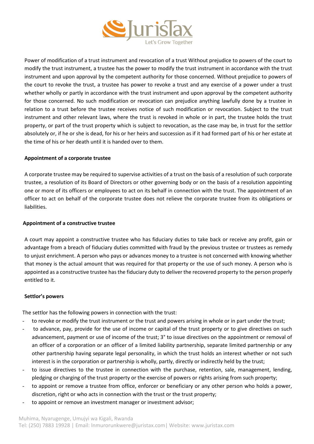

Power of modification of a trust instrument and revocation of a trust Without prejudice to powers of the court to modify the trust instrument, a trustee has the power to modify the trust instrument in accordance with the trust instrument and upon approval by the competent authority for those concerned. Without prejudice to powers of the court to revoke the trust, a trustee has power to revoke a trust and any exercise of a power under a trust whether wholly or partly in accordance with the trust instrument and upon approval by the competent authority for those concerned. No such modification or revocation can prejudice anything lawfully done by a trustee in relation to a trust before the trustee receives notice of such modification or revocation. Subject to the trust instrument and other relevant laws, where the trust is revoked in whole or in part, the trustee holds the trust property, or part of the trust property which is subject to revocation, as the case may be, in trust for the settlor absolutely or, if he or she is dead, for his or her heirs and succession as if it had formed part of his or her estate at the time of his or her death until it is handed over to them.

## **Appointment of a corporate trustee**

A corporate trustee may be required to supervise activities of a trust on the basis of a resolution of such corporate trustee, a resolution of its Board of Directors or other governing body or on the basis of a resolution appointing one or more of its officers or employees to act on its behalf in connection with the trust. The appointment of an officer to act on behalf of the corporate trustee does not relieve the corporate trustee from its obligations or liabilities.

## **Appointment of a constructive trustee**

A court may appoint a constructive trustee who has fiduciary duties to take back or receive any profit, gain or advantage from a breach of fiduciary duties committed with fraud by the previous trustee or trustees as remedy to unjust enrichment. A person who pays or advances money to a trustee is not concerned with knowing whether that money is the actual amount that was required for that property or the use of such money. A person who is appointed as a constructive trustee has the fiduciary duty to deliver the recovered property to the person properly entitled to it.

# **Settlor's powers**

The settlor has the following powers in connection with the trust:

- to revoke or modify the trust instrument or the trust and powers arising in whole or in part under the trust;
- to advance, pay, provide for the use of income or capital of the trust property or to give directives on such advancement, payment or use of income of the trust; 3° to issue directives on the appointment or removal of an officer of a corporation or an officer of a limited liability partnership, separate limited partnership or any other partnership having separate legal personality, in which the trust holds an interest whether or not such interest is in the corporation or partnership is wholly, partly, directly or indirectly held by the trust;
- to issue directives to the trustee in connection with the purchase, retention, sale, management, lending, pledging or charging of the trust property or the exercise of powers or rights arising from such property;
- to appoint or remove a trustee from office, enforcer or beneficiary or any other person who holds a power, discretion, right or who acts in connection with the trust or the trust property;
- to appoint or remove an investment manager or investment advisor;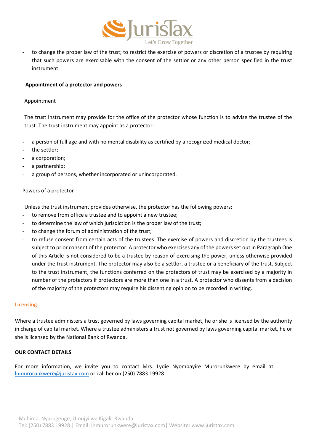

to change the proper law of the trust; to restrict the exercise of powers or discretion of a trustee by requiring that such powers are exercisable with the consent of the settlor or any other person specified in the trust instrument.

## **Appointment of a protector and powers**

#### Appointment

The trust instrument may provide for the office of the protector whose function is to advise the trustee of the trust. The trust instrument may appoint as a protector:

- a person of full age and with no mental disability as certified by a recognized medical doctor;
- the settlor;
- a corporation;
- a partnership;
- a group of persons, whether incorporated or unincorporated.

#### Powers of a protector

Unless the trust instrument provides otherwise, the protector has the following powers:

- to remove from office a trustee and to appoint a new trustee;
- to determine the law of which jurisdiction is the proper law of the trust;
- to change the forum of administration of the trust;
- to refuse consent from certain acts of the trustees. The exercise of powers and discretion by the trustees is subject to prior consent of the protector. A protector who exercises any of the powers set out in Paragraph One of this Article is not considered to be a trustee by reason of exercising the power, unless otherwise provided under the trust instrument. The protector may also be a settlor, a trustee or a beneficiary of the trust. Subject to the trust instrument, the functions conferred on the protectors of trust may be exercised by a majority in number of the protectors if protectors are more than one in a trust. A protector who dissents from a decision of the majority of the protectors may require his dissenting opinion to be recorded in writing.

#### **Licensing**

Where a trustee administers a trust governed by laws governing capital market, he or she is licensed by the authority in charge of capital market. Where a trustee administers a trust not governed by laws governing capital market, he or she is licensed by the National Bank of Rwanda.

#### **OUR CONTACT DETAILS**

For more information, we invite you to contact Mrs. Lydie Nyombayire Murorunkwere by email at [lnmurorunkwere@juristax.com](mailto:lnmurorunkwere@juristax.com) or call her on (250) 7883 19928.